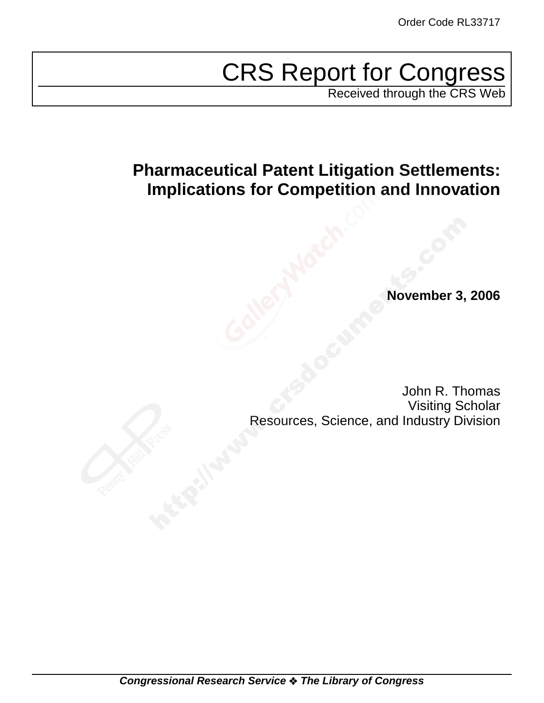# CRS Report for Congress

Received through the CRS Web

## **Pharmaceutical Patent Litigation Settlements: Implications for Competition and Innovation**

**November 3, 2006**

John R. Thomas Visiting Scholar Resources, Science, and Industry Division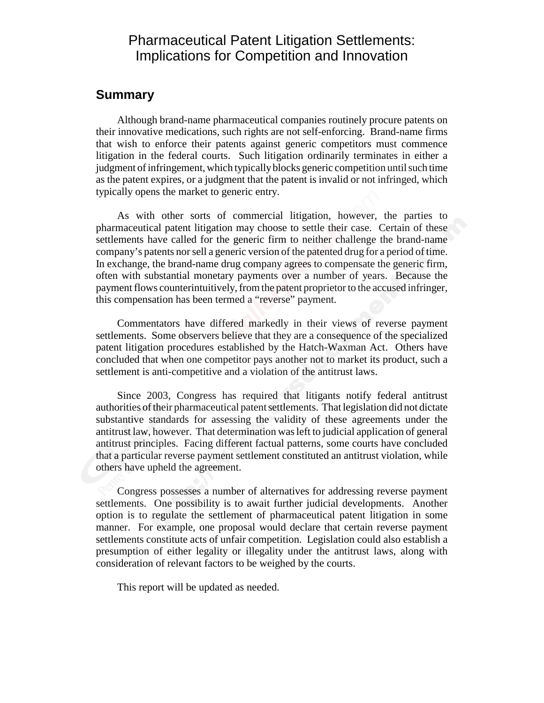## Pharmaceutical Patent Litigation Settlements: Implications for Competition and Innovation

## **Summary**

Although brand-name pharmaceutical companies routinely procure patents on their innovative medications, such rights are not self-enforcing. Brand-name firms that wish to enforce their patents against generic competitors must commence litigation in the federal courts. Such litigation ordinarily terminates in either a judgment of infringement, which typically blocks generic competition until such time as the patent expires, or a judgment that the patent is invalid or not infringed, which typically opens the market to generic entry.

As with other sorts of commercial litigation, however, the parties to pharmaceutical patent litigation may choose to settle their case. Certain of these settlements have called for the generic firm to neither challenge the brand-name company's patents nor sell a generic version of the patented drug for a period of time. In exchange, the brand-name drug company agrees to compensate the generic firm, often with substantial monetary payments over a number of years. Because the payment flows counterintuitively, from the patent proprietor to the accused infringer, this compensation has been termed a "reverse" payment.

Commentators have differed markedly in their views of reverse payment settlements. Some observers believe that they are a consequence of the specialized patent litigation procedures established by the Hatch-Waxman Act. Others have concluded that when one competitor pays another not to market its product, such a settlement is anti-competitive and a violation of the antitrust laws.

Since 2003, Congress has required that litigants notify federal antitrust authorities of their pharmaceutical patent settlements. That legislation did not dictate substantive standards for assessing the validity of these agreements under the antitrust law, however. That determination was left to judicial application of general antitrust principles. Facing different factual patterns, some courts have concluded that a particular reverse payment settlement constituted an antitrust violation, while others have upheld the agreement.

Congress possesses a number of alternatives for addressing reverse payment settlements. One possibility is to await further judicial developments. Another option is to regulate the settlement of pharmaceutical patent litigation in some manner. For example, one proposal would declare that certain reverse payment settlements constitute acts of unfair competition. Legislation could also establish a presumption of either legality or illegality under the antitrust laws, along with consideration of relevant factors to be weighed by the courts.

This report will be updated as needed.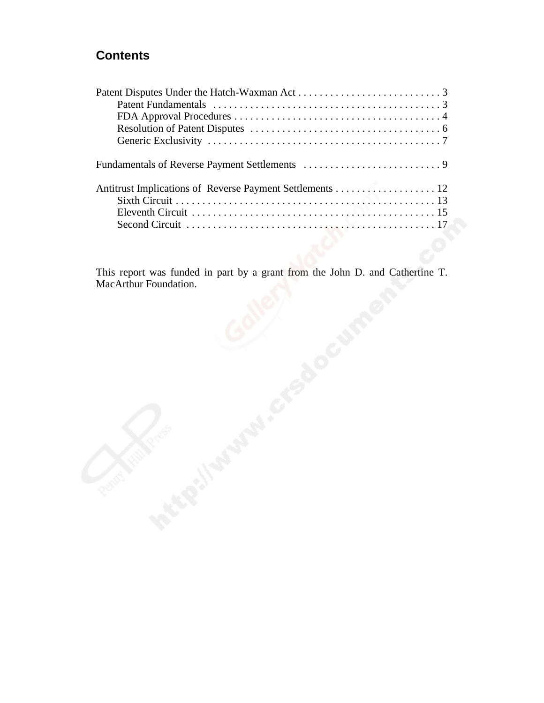## **Contents**

This report was funded in part by a grant from the John D. and Cathertine T. MacArthur Foundation.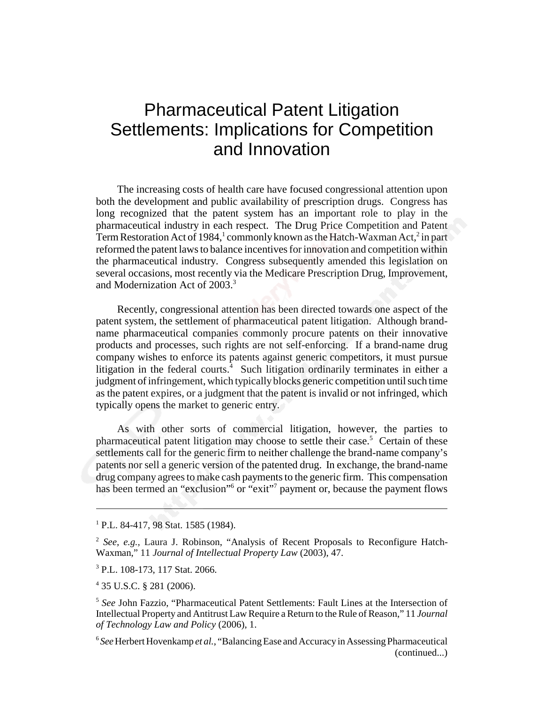## Pharmaceutical Patent Litigation Settlements: Implications for Competition and Innovation

The increasing costs of health care have focused congressional attention upon both the development and public availability of prescription drugs. Congress has long recognized that the patent system has an important role to play in the pharmaceutical industry in each respect. The Drug Price Competition and Patent Term Restoration Act of 1984,<sup>1</sup> commonly known as the Hatch-Waxman Act,<sup>2</sup> in part reformed the patent laws to balance incentives for innovation and competition within the pharmaceutical industry. Congress subsequently amended this legislation on several occasions, most recently via the Medicare Prescription Drug, Improvement, and Modernization Act of 2003.3

Recently, congressional attention has been directed towards one aspect of the patent system, the settlement of pharmaceutical patent litigation. Although brandname pharmaceutical companies commonly procure patents on their innovative products and processes, such rights are not self-enforcing. If a brand-name drug company wishes to enforce its patents against generic competitors, it must pursue litigation in the federal courts.<sup>4</sup> Such litigation ordinarily terminates in either a judgment of infringement, which typically blocks generic competition until such time as the patent expires, or a judgment that the patent is invalid or not infringed, which typically opens the market to generic entry.

As with other sorts of commercial litigation, however, the parties to pharmaceutical patent litigation may choose to settle their case.<sup>5</sup> Certain of these settlements call for the generic firm to neither challenge the brand-name company's patents nor sell a generic version of the patented drug. In exchange, the brand-name drug company agrees to make cash payments to the generic firm. This compensation has been termed an "exclusion"<sup>6</sup> or "exit"<sup>7</sup> payment or, because the payment flows

3 P.L. 108-173, 117 Stat. 2066.

4 35 U.S.C. § 281 (2006).

<sup>&</sup>lt;sup>1</sup> P.L. 84-417, 98 Stat. 1585 (1984).

<sup>2</sup> *See, e.g.,* Laura J. Robinson, "Analysis of Recent Proposals to Reconfigure Hatch-Waxman," 11 *Journal of Intellectual Property Law* (2003), 47.

<sup>5</sup> *See* John Fazzio, "Pharmaceutical Patent Settlements: Fault Lines at the Intersection of Intellectual Property and Antitrust Law Require a Return to the Rule of Reason," 11 *Journal of Technology Law and Policy* (2006), 1.

<sup>6</sup> *See* Herbert Hovenkamp *et al.*, "Balancing Ease and Accuracy in Assessing Pharmaceutical (continued...)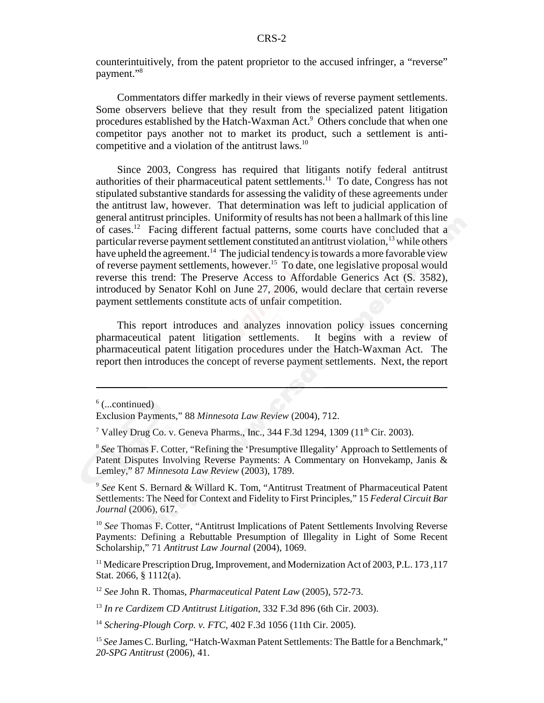counterintuitively, from the patent proprietor to the accused infringer, a "reverse" payment."8

Commentators differ markedly in their views of reverse payment settlements. Some observers believe that they result from the specialized patent litigation procedures established by the Hatch-Waxman Act.<sup>9</sup> Others conclude that when one competitor pays another not to market its product, such a settlement is anticompetitive and a violation of the antitrust laws.<sup>10</sup>

Since 2003, Congress has required that litigants notify federal antitrust authorities of their pharmaceutical patent settlements.<sup>11</sup> To date, Congress has not stipulated substantive standards for assessing the validity of these agreements under the antitrust law, however. That determination was left to judicial application of general antitrust principles. Uniformity of results has not been a hallmark of this line of cases.12 Facing different factual patterns, some courts have concluded that a particular reverse payment settlement constituted an antitrust violation, $13$  while others have upheld the agreement.<sup>14</sup> The judicial tendency is towards a more favorable view of reverse payment settlements, however.15 To date, one legislative proposal would reverse this trend: The Preserve Access to Affordable Generics Act (S. 3582), introduced by Senator Kohl on June 27, 2006, would declare that certain reverse payment settlements constitute acts of unfair competition.

This report introduces and analyzes innovation policy issues concerning pharmaceutical patent litigation settlements. It begins with a review of pharmaceutical patent litigation procedures under the Hatch-Waxman Act. The report then introduces the concept of reverse payment settlements. Next, the report

 $6$  (...continued)

Exclusion Payments," 88 *Minnesota Law Review* (2004), 712.

<sup>&</sup>lt;sup>7</sup> Valley Drug Co. v. Geneva Pharms., Inc., 344 F.3d 1294, 1309 (11<sup>th</sup> Cir. 2003).

<sup>8</sup> *See* Thomas F. Cotter, "Refining the 'Presumptive Illegality' Approach to Settlements of Patent Disputes Involving Reverse Payments: A Commentary on Honvekamp, Janis & Lemley," 87 *Minnesota Law Review* (2003), 1789.

<sup>9</sup> *See* Kent S. Bernard & Willard K. Tom, "Antitrust Treatment of Pharmaceutical Patent Settlements: The Need for Context and Fidelity to First Principles," 15 *Federal Circuit Bar Journal* (2006), 617.

<sup>&</sup>lt;sup>10</sup> *See* Thomas F. Cotter, "Antitrust Implications of Patent Settlements Involving Reverse Payments: Defining a Rebuttable Presumption of Illegality in Light of Some Recent Scholarship," 71 *Antitrust Law Journal* (2004), 1069.

<sup>11</sup> Medicare Prescription Drug, Improvement, and Modernization Act of 2003, P.L. 173 ,117 Stat. 2066, § 1112(a).

<sup>12</sup> *See* John R. Thomas, *Pharmaceutical Patent Law* (2005), 572-73.

<sup>13</sup> *In re Cardizem CD Antitrust Litigation*, 332 F.3d 896 (6th Cir. 2003).

<sup>14</sup> *Schering-Plough Corp. v. FTC*, 402 F.3d 1056 (11th Cir. 2005).

<sup>&</sup>lt;sup>15</sup> See James C. Burling, "Hatch-Waxman Patent Settlements: The Battle for a Benchmark," *20-SPG Antitrust* (2006), 41.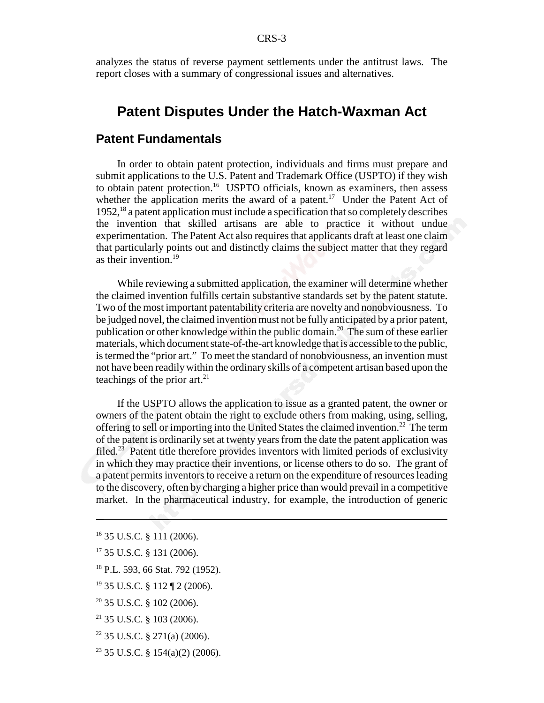analyzes the status of reverse payment settlements under the antitrust laws. The report closes with a summary of congressional issues and alternatives.

## **Patent Disputes Under the Hatch-Waxman Act**

### **Patent Fundamentals**

In order to obtain patent protection, individuals and firms must prepare and submit applications to the U.S. Patent and Trademark Office (USPTO) if they wish to obtain patent protection.<sup>16</sup> USPTO officials, known as examiners, then assess whether the application merits the award of a patent.<sup>17</sup> Under the Patent Act of  $1952<sup>18</sup>$  a patent application must include a specification that so completely describes the invention that skilled artisans are able to practice it without undue experimentation. The Patent Act also requires that applicants draft at least one claim that particularly points out and distinctly claims the subject matter that they regard as their invention. $^{19}$ 

While reviewing a submitted application, the examiner will determine whether the claimed invention fulfills certain substantive standards set by the patent statute. Two of the most important patentability criteria are novelty and nonobviousness. To be judged novel, the claimed invention must not be fully anticipated by a prior patent, publication or other knowledge within the public domain.<sup>20</sup> The sum of these earlier materials, which document state-of-the-art knowledge that is accessible to the public, is termed the "prior art." To meet the standard of nonobviousness, an invention must not have been readily within the ordinary skills of a competent artisan based upon the teachings of the prior art. $^{21}$ 

If the USPTO allows the application to issue as a granted patent, the owner or owners of the patent obtain the right to exclude others from making, using, selling, offering to sell or importing into the United States the claimed invention.<sup>22</sup> The term of the patent is ordinarily set at twenty years from the date the patent application was filed.<sup>23</sup> Patent title therefore provides inventors with limited periods of exclusivity in which they may practice their inventions, or license others to do so. The grant of a patent permits inventors to receive a return on the expenditure of resources leading to the discovery, often by charging a higher price than would prevail in a competitive market. In the pharmaceutical industry, for example, the introduction of generic

- 19 35 U.S.C. § 112 ¶ 2 (2006).
- 20 35 U.S.C. § 102 (2006).
- $21$  35 U.S.C. § 103 (2006).
- $22$  35 U.S.C. § 271(a) (2006).
- $23$  35 U.S.C. § 154(a)(2) (2006).

<sup>16 35</sup> U.S.C. § 111 (2006).

<sup>17 35</sup> U.S.C. § 131 (2006).

<sup>18</sup> P.L. 593, 66 Stat. 792 (1952).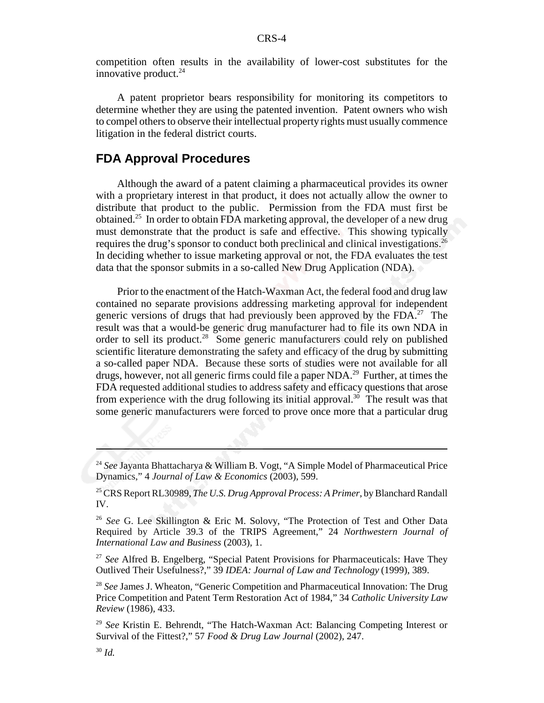competition often results in the availability of lower-cost substitutes for the innovative product. $^{24}$ 

A patent proprietor bears responsibility for monitoring its competitors to determine whether they are using the patented invention. Patent owners who wish to compel others to observe their intellectual property rights must usually commence litigation in the federal district courts.

## **FDA Approval Procedures**

Although the award of a patent claiming a pharmaceutical provides its owner with a proprietary interest in that product, it does not actually allow the owner to distribute that product to the public. Permission from the FDA must first be obtained.25 In order to obtain FDA marketing approval, the developer of a new drug must demonstrate that the product is safe and effective. This showing typically requires the drug's sponsor to conduct both preclinical and clinical investigations.<sup>26</sup> In deciding whether to issue marketing approval or not, the FDA evaluates the test data that the sponsor submits in a so-called New Drug Application (NDA).

Prior to the enactment of the Hatch-Waxman Act, the federal food and drug law contained no separate provisions addressing marketing approval for independent generic versions of drugs that had previously been approved by the FDA.<sup>27</sup> The result was that a would-be generic drug manufacturer had to file its own NDA in order to sell its product.28 Some generic manufacturers could rely on published scientific literature demonstrating the safety and efficacy of the drug by submitting a so-called paper NDA. Because these sorts of studies were not available for all drugs, however, not all generic firms could file a paper NDA.<sup>29</sup> Further, at times the FDA requested additional studies to address safety and efficacy questions that arose from experience with the drug following its initial approval.<sup>30</sup> The result was that some generic manufacturers were forced to prove once more that a particular drug

<sup>27</sup> See Alfred B. Engelberg, "Special Patent Provisions for Pharmaceuticals: Have They Outlived Their Usefulness?," 39 *IDEA: Journal of Law and Technology* (1999), 389.

<sup>28</sup> *See* James J. Wheaton, "Generic Competition and Pharmaceutical Innovation: The Drug Price Competition and Patent Term Restoration Act of 1984," 34 *Catholic University Law Review* (1986), 433.

<sup>24</sup> *See* Jayanta Bhattacharya & William B. Vogt, "A Simple Model of Pharmaceutical Price Dynamics," 4 *Journal of Law & Economics* (2003), 599.

<sup>25</sup> CRS Report RL30989, *The U.S. Drug Approval Process: A Primer*, by Blanchard Randall IV.

<sup>26</sup> *See* G. Lee Skillington & Eric M. Solovy, "The Protection of Test and Other Data Required by Article 39.3 of the TRIPS Agreement," 24 *Northwestern Journal of International Law and Business* (2003), 1.

<sup>29</sup> *See* Kristin E. Behrendt, "The Hatch-Waxman Act: Balancing Competing Interest or Survival of the Fittest?," 57 *Food & Drug Law Journal* (2002), 247.

<sup>30</sup> *Id.*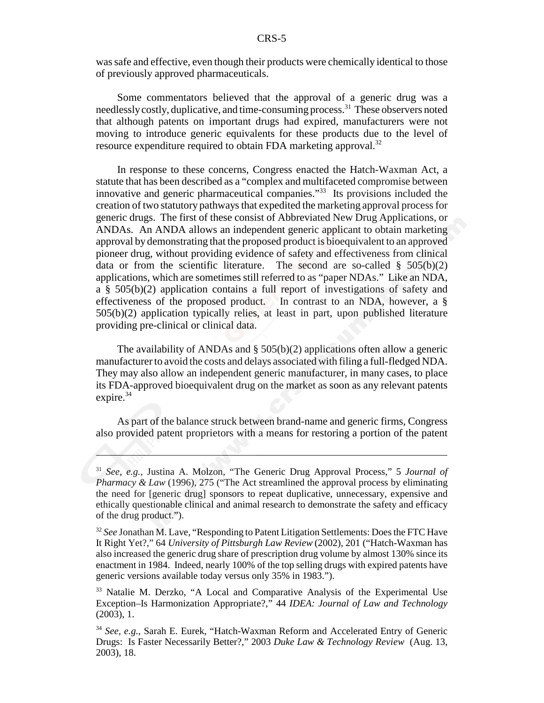was safe and effective, even though their products were chemically identical to those of previously approved pharmaceuticals.

Some commentators believed that the approval of a generic drug was a needlessly costly, duplicative, and time-consuming process.31 These observers noted that although patents on important drugs had expired, manufacturers were not moving to introduce generic equivalents for these products due to the level of resource expenditure required to obtain FDA marketing approval.<sup>32</sup>

In response to these concerns, Congress enacted the Hatch-Waxman Act, a statute that has been described as a "complex and multifaceted compromise between innovative and generic pharmaceutical companies."33 Its provisions included the creation of two statutory pathways that expedited the marketing approval process for generic drugs. The first of these consist of Abbreviated New Drug Applications, or ANDAs. An ANDA allows an independent generic applicant to obtain marketing approval by demonstrating that the proposed product is bioequivalent to an approved pioneer drug, without providing evidence of safety and effectiveness from clinical data or from the scientific literature. The second are so-called  $\S$  505(b)(2) applications, which are sometimes still referred to as "paper NDAs." Like an NDA, a § 505(b)(2) application contains a full report of investigations of safety and effectiveness of the proposed product. In contrast to an NDA, however, a § 505(b)(2) application typically relies, at least in part, upon published literature providing pre-clinical or clinical data.

The availability of ANDAs and  $\S$  505(b)(2) applications often allow a generic manufacturer to avoid the costs and delays associated with filing a full-fledged NDA. They may also allow an independent generic manufacturer, in many cases, to place its FDA-approved bioequivalent drug on the market as soon as any relevant patents expire.<sup>34</sup>

As part of the balance struck between brand-name and generic firms, Congress also provided patent proprietors with a means for restoring a portion of the patent

<sup>31</sup> *See, e.g.,* Justina A. Molzon, "The Generic Drug Approval Process," 5 *Journal of Pharmacy & Law* (1996), 275 ("The Act streamlined the approval process by eliminating the need for [generic drug] sponsors to repeat duplicative, unnecessary, expensive and ethically questionable clinical and animal research to demonstrate the safety and efficacy of the drug product.").

<sup>&</sup>lt;sup>32</sup> See Jonathan M. Lave, "Responding to Patent Litigation Settlements: Does the FTC Have It Right Yet?," 64 *University of Pittsburgh Law Review* (2002), 201 ("Hatch-Waxman has also increased the generic drug share of prescription drug volume by almost 130% since its enactment in 1984. Indeed, nearly 100% of the top selling drugs with expired patents have generic versions available today versus only 35% in 1983.").

<sup>&</sup>lt;sup>33</sup> Natalie M. Derzko, "A Local and Comparative Analysis of the Experimental Use Exception–Is Harmonization Appropriate?," 44 *IDEA: Journal of Law and Technology* (2003), 1.

<sup>34</sup> *See, e.g.,* Sarah E. Eurek, "Hatch-Waxman Reform and Accelerated Entry of Generic Drugs: Is Faster Necessarily Better?," 2003 *Duke Law & Technology Review* (Aug. 13, 2003), 18.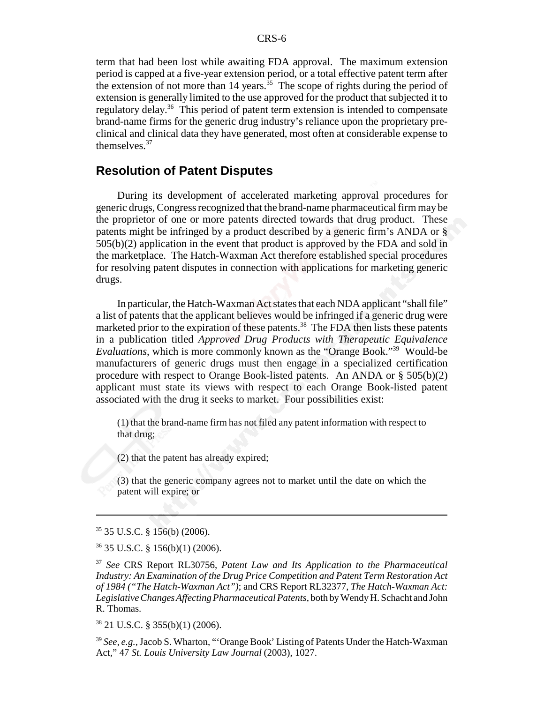term that had been lost while awaiting FDA approval. The maximum extension period is capped at a five-year extension period, or a total effective patent term after the extension of not more than 14 years.<sup> $35$ </sup> The scope of rights during the period of extension is generally limited to the use approved for the product that subjected it to regulatory delay.<sup>36</sup> This period of patent term extension is intended to compensate brand-name firms for the generic drug industry's reliance upon the proprietary preclinical and clinical data they have generated, most often at considerable expense to themselves.37

## **Resolution of Patent Disputes**

During its development of accelerated marketing approval procedures for generic drugs, Congress recognized that the brand-name pharmaceutical firm may be the proprietor of one or more patents directed towards that drug product. These patents might be infringed by a product described by a generic firm's ANDA or § 505(b)(2) application in the event that product is approved by the FDA and sold in the marketplace. The Hatch-Waxman Act therefore established special procedures for resolving patent disputes in connection with applications for marketing generic drugs.

In particular, the Hatch-Waxman Act states that each NDA applicant "shall file" a list of patents that the applicant believes would be infringed if a generic drug were marketed prior to the expiration of these patents.<sup>38</sup> The FDA then lists these patents in a publication titled *Approved Drug Products with Therapeutic Equivalence Evaluations*, which is more commonly known as the "Orange Book."39 Would-be manufacturers of generic drugs must then engage in a specialized certification procedure with respect to Orange Book-listed patents. An ANDA or § 505(b)(2) applicant must state its views with respect to each Orange Book-listed patent associated with the drug it seeks to market. Four possibilities exist:

(1) that the brand-name firm has not filed any patent information with respect to that drug;

(2) that the patent has already expired;

(3) that the generic company agrees not to market until the date on which the patent will expire; or

35 35 U.S.C. § 156(b) (2006).

38 21 U.S.C. § 355(b)(1) (2006).

<sup>39</sup> *See, e.g.,* Jacob S. Wharton, "'Orange Book' Listing of Patents Under the Hatch-Waxman Act," 47 *St. Louis University Law Journal* (2003), 1027.

<sup>36 35</sup> U.S.C. § 156(b)(1) (2006).

<sup>37</sup> *See* CRS Report RL30756, *Patent Law and Its Application to the Pharmaceutical Industry: An Examination of the Drug Price Competition and Patent Term Restoration Act of 1984 ("The Hatch-Waxman Act")*; and CRS Report RL32377, *The Hatch-Waxman Act: Legislative Changes Affecting Pharmaceutical Patents*, both by Wendy H. Schacht and John R. Thomas.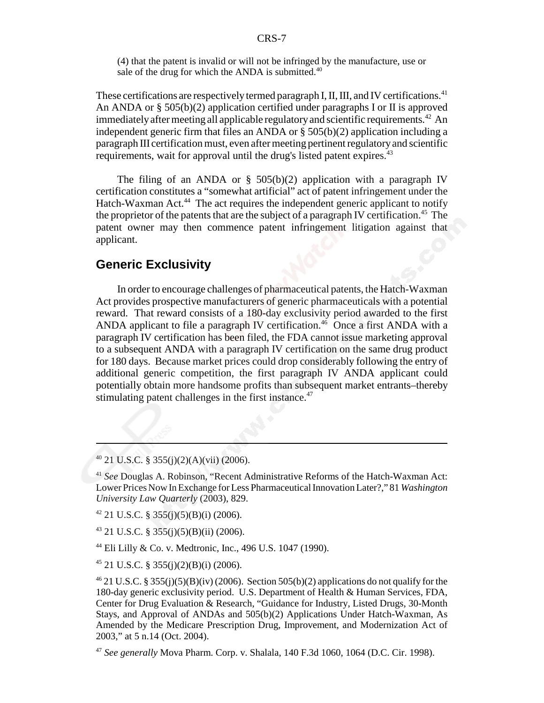(4) that the patent is invalid or will not be infringed by the manufacture, use or sale of the drug for which the ANDA is submitted.<sup>40</sup>

These certifications are respectively termed paragraph I, II, III, and IV certifications.<sup>41</sup> An ANDA or § 505(b)(2) application certified under paragraphs I or II is approved immediately after meeting all applicable regulatory and scientific requirements.<sup>42</sup> An independent generic firm that files an ANDA or § 505(b)(2) application including a paragraph III certification must, even after meeting pertinent regulatory and scientific requirements, wait for approval until the drug's listed patent expires.<sup>43</sup>

The filing of an ANDA or  $\S$  505(b)(2) application with a paragraph IV certification constitutes a "somewhat artificial" act of patent infringement under the Hatch-Waxman Act.<sup>44</sup> The act requires the independent generic applicant to notify the proprietor of the patents that are the subject of a paragraph IV certification.<sup>45</sup> The patent owner may then commence patent infringement litigation against that applicant.

## **Generic Exclusivity**

In order to encourage challenges of pharmaceutical patents, the Hatch-Waxman Act provides prospective manufacturers of generic pharmaceuticals with a potential reward. That reward consists of a 180-day exclusivity period awarded to the first ANDA applicant to file a paragraph IV certification.<sup>46</sup> Once a first ANDA with a paragraph IV certification has been filed, the FDA cannot issue marketing approval to a subsequent ANDA with a paragraph IV certification on the same drug product for 180 days. Because market prices could drop considerably following the entry of additional generic competition, the first paragraph IV ANDA applicant could potentially obtain more handsome profits than subsequent market entrants–thereby stimulating patent challenges in the first instance.<sup>47</sup>

 $42$  21 U.S.C. § 355(j)(5)(B)(j) (2006).

 $43$  21 U.S.C. § 355(j)(5)(B)(ii) (2006).

44 Eli Lilly & Co. v. Medtronic, Inc., 496 U.S. 1047 (1990).

 $45$  21 U.S.C. § 355(j)(2)(B)(j) (2006).

 $40$  21 U.S.C. § 355(j)(2)(A)(vii) (2006).

<sup>41</sup> *See* Douglas A. Robinson, "Recent Administrative Reforms of the Hatch-Waxman Act: Lower Prices Now In Exchange for Less Pharmaceutical Innovation Later?," 81 *Washington University Law Quarterly* (2003), 829.

<sup>&</sup>lt;sup>46</sup> 21 U.S.C. § 355(j)(5)(B)(iv) (2006). Section 505(b)(2) applications do not qualify for the 180-day generic exclusivity period. U.S. Department of Health & Human Services, FDA, Center for Drug Evaluation & Research, "Guidance for Industry, Listed Drugs, 30-Month Stays, and Approval of ANDAs and 505(b)(2) Applications Under Hatch-Waxman, As Amended by the Medicare Prescription Drug, Improvement, and Modernization Act of 2003," at 5 n.14 (Oct. 2004).

<sup>47</sup> *See generally* Mova Pharm. Corp. v. Shalala, 140 F.3d 1060, 1064 (D.C. Cir. 1998).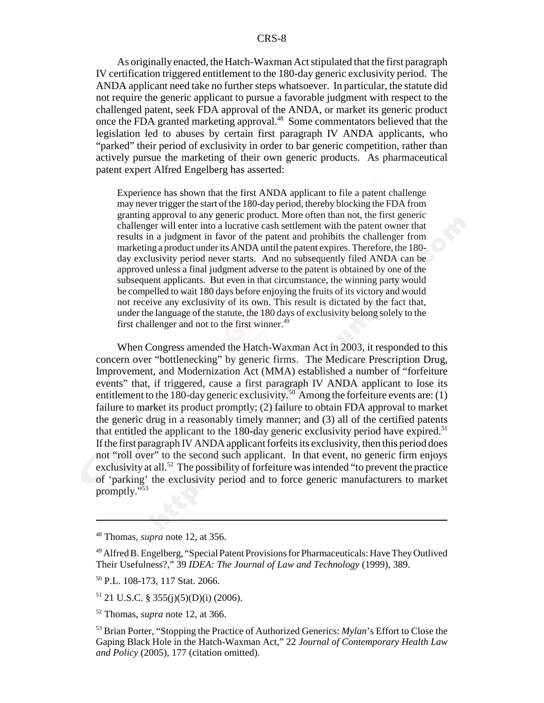As originally enacted, the Hatch-Waxman Act stipulated that the first paragraph IV certification triggered entitlement to the 180-day generic exclusivity period. The ANDA applicant need take no further steps whatsoever. In particular, the statute did not require the generic applicant to pursue a favorable judgment with respect to the challenged patent, seek FDA approval of the ANDA, or market its generic product once the FDA granted marketing approval.48 Some commentators believed that the legislation led to abuses by certain first paragraph IV ANDA applicants, who "parked" their period of exclusivity in order to bar generic competition, rather than actively pursue the marketing of their own generic products. As pharmaceutical patent expert Alfred Engelberg has asserted:

Experience has shown that the first ANDA applicant to file a patent challenge may never trigger the start of the 180-day period, thereby blocking the FDA from granting approval to any generic product. More often than not, the first generic challenger will enter into a lucrative cash settlement with the patent owner that results in a judgment in favor of the patent and prohibits the challenger from marketing a product under its ANDA until the patent expires. Therefore, the 180 day exclusivity period never starts. And no subsequently filed ANDA can be approved unless a final judgment adverse to the patent is obtained by one of the subsequent applicants. But even in that circumstance, the winning party would be compelled to wait 180 days before enjoying the fruits of its victory and would not receive any exclusivity of its own. This result is dictated by the fact that, under the language of the statute, the 180 days of exclusivity belong solely to the first challenger and not to the first winner. $49$ 

When Congress amended the Hatch-Waxman Act in 2003, it responded to this concern over "bottlenecking" by generic firms. The Medicare Prescription Drug, Improvement, and Modernization Act (MMA) established a number of "forfeiture events" that, if triggered, cause a first paragraph IV ANDA applicant to lose its entitlement to the 180-day generic exclusivity.<sup>50</sup> Among the forfeiture events are: (1) failure to market its product promptly; (2) failure to obtain FDA approval to market the generic drug in a reasonably timely manner; and (3) all of the certified patents that entitled the applicant to the 180-day generic exclusivity period have expired.<sup>51</sup> If the first paragraph IV ANDA applicant forfeits its exclusivity, then this period does not "roll over" to the second such applicant. In that event, no generic firm enjoys exclusivity at all.<sup>52</sup> The possibility of forfeiture was intended "to prevent the practice of 'parking' the exclusivity period and to force generic manufacturers to market promptly."53

<sup>48</sup> Thomas, *supra* note 12, at 356.

<sup>49</sup> Alfred B. Engelberg, "Special Patent Provisions for Pharmaceuticals: Have They Outlived Their Usefulness?," 39 *IDEA: The Journal of Law and Technology* (1999), 389.

<sup>50</sup> P.L. 108-173, 117 Stat. 2066.

 $51$  21 U.S.C. § 355(j)(5)(D)(i) (2006).

<sup>52</sup> Thomas, *supra* note 12, at 366.

<sup>53</sup> Brian Porter, "Stopping the Practice of Authorized Generics: *Mylan*'s Effort to Close the Gaping Black Hole in the Hatch-Waxman Act," 22 *Journal of Contemporary Health Law and Policy* (2005), 177 (citation omitted).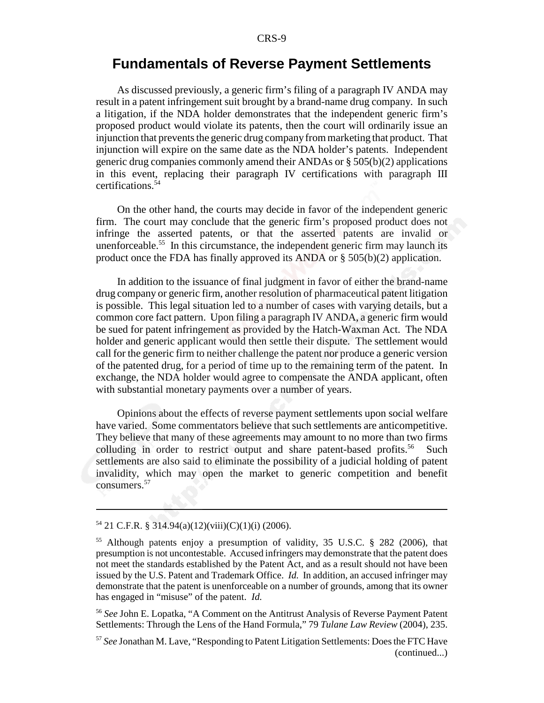## **Fundamentals of Reverse Payment Settlements**

As discussed previously, a generic firm's filing of a paragraph IV ANDA may result in a patent infringement suit brought by a brand-name drug company. In such a litigation, if the NDA holder demonstrates that the independent generic firm's proposed product would violate its patents, then the court will ordinarily issue an injunction that prevents the generic drug company from marketing that product. That injunction will expire on the same date as the NDA holder's patents. Independent generic drug companies commonly amend their ANDAs or § 505(b)(2) applications in this event, replacing their paragraph IV certifications with paragraph III certifications.54

On the other hand, the courts may decide in favor of the independent generic firm. The court may conclude that the generic firm's proposed product does not infringe the asserted patents, or that the asserted patents are invalid or unenforceable.<sup>55</sup> In this circumstance, the independent generic firm may launch its product once the FDA has finally approved its ANDA or § 505(b)(2) application.

In addition to the issuance of final judgment in favor of either the brand-name drug company or generic firm, another resolution of pharmaceutical patent litigation is possible. This legal situation led to a number of cases with varying details, but a common core fact pattern. Upon filing a paragraph IV ANDA, a generic firm would be sued for patent infringement as provided by the Hatch-Waxman Act. The NDA holder and generic applicant would then settle their dispute. The settlement would call for the generic firm to neither challenge the patent nor produce a generic version of the patented drug, for a period of time up to the remaining term of the patent. In exchange, the NDA holder would agree to compensate the ANDA applicant, often with substantial monetary payments over a number of years.

Opinions about the effects of reverse payment settlements upon social welfare have varied. Some commentators believe that such settlements are anticompetitive. They believe that many of these agreements may amount to no more than two firms colluding in order to restrict output and share patent-based profits.<sup>56</sup> Such settlements are also said to eliminate the possibility of a judicial holding of patent invalidity, which may open the market to generic competition and benefit consumers.57

<sup>56</sup> *See* John E. Lopatka, "A Comment on the Antitrust Analysis of Reverse Payment Patent Settlements: Through the Lens of the Hand Formula," 79 *Tulane Law Review* (2004), 235.

 $54$  21 C.F.R. § 314.94(a)(12)(viii)(C)(1)(i) (2006).

<sup>55</sup> Although patents enjoy a presumption of validity, 35 U.S.C. § 282 (2006), that presumption is not uncontestable. Accused infringers may demonstrate that the patent does not meet the standards established by the Patent Act, and as a result should not have been issued by the U.S. Patent and Trademark Office. *Id.* In addition, an accused infringer may demonstrate that the patent is unenforceable on a number of grounds, among that its owner has engaged in "misuse" of the patent. *Id.*

<sup>57</sup> *See* Jonathan M. Lave, "Responding to Patent Litigation Settlements: Does the FTC Have (continued...)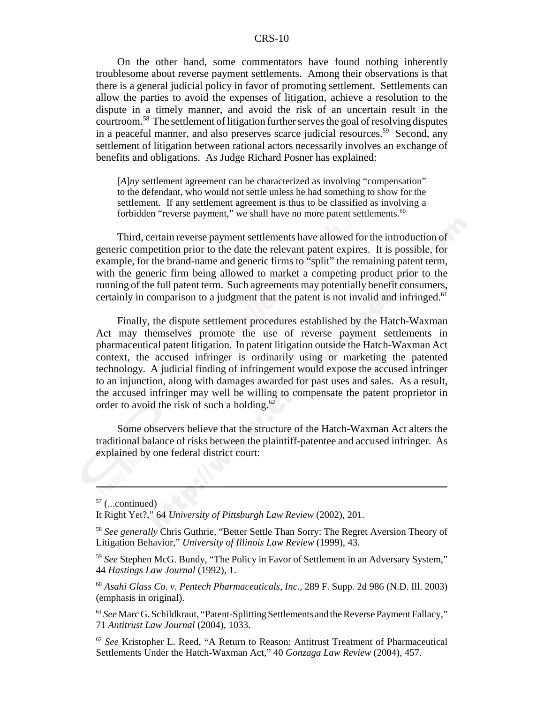On the other hand, some commentators have found nothing inherently troublesome about reverse payment settlements. Among their observations is that there is a general judicial policy in favor of promoting settlement. Settlements can allow the parties to avoid the expenses of litigation, achieve a resolution to the dispute in a timely manner, and avoid the risk of an uncertain result in the courtroom.58 The settlement of litigation further serves the goal of resolving disputes in a peaceful manner, and also preserves scarce judicial resources.<sup>59</sup> Second, any settlement of litigation between rational actors necessarily involves an exchange of benefits and obligations. As Judge Richard Posner has explained:

[*A*]*ny* settlement agreement can be characterized as involving "compensation" to the defendant, who would not settle unless he had something to show for the settlement. If any settlement agreement is thus to be classified as involving a forbidden "reverse payment," we shall have no more patent settlements.<sup>60</sup>

Third, certain reverse payment settlements have allowed for the introduction of generic competition prior to the date the relevant patent expires. It is possible, for example, for the brand-name and generic firms to "split" the remaining patent term, with the generic firm being allowed to market a competing product prior to the running of the full patent term. Such agreements may potentially benefit consumers, certainly in comparison to a judgment that the patent is not invalid and infringed.<sup>61</sup>

Finally, the dispute settlement procedures established by the Hatch-Waxman Act may themselves promote the use of reverse payment settlements in pharmaceutical patent litigation. In patent litigation outside the Hatch-Waxman Act context, the accused infringer is ordinarily using or marketing the patented technology. A judicial finding of infringement would expose the accused infringer to an injunction, along with damages awarded for past uses and sales. As a result, the accused infringer may well be willing to compensate the patent proprietor in order to avoid the risk of such a holding. $62$ 

Some observers believe that the structure of the Hatch-Waxman Act alters the traditional balance of risks between the plaintiff-patentee and accused infringer. As explained by one federal district court:

 $57$  (...continued)

It Right Yet?," 64 *University of Pittsburgh Law Review* (2002), 201.

<sup>58</sup> *See generally* Chris Guthrie, "Better Settle Than Sorry: The Regret Aversion Theory of Litigation Behavior," *University of Illinois Law Review* (1999), 43.

<sup>59</sup> *See* Stephen McG. Bundy, "The Policy in Favor of Settlement in an Adversary System," 44 *Hastings Law Journal* (1992), 1.

<sup>60</sup> *Asahi Glass Co. v. Pentech Pharmaceuticals, Inc.*, 289 F. Supp. 2d 986 (N.D. Ill. 2003) (emphasis in original).

<sup>61</sup> *See* Marc G. Schildkraut, "Patent-Splitting Settlements and the Reverse Payment Fallacy," 71 *Antitrust Law Journal* (2004), 1033.

<sup>62</sup> *See* Kristopher L. Reed, "A Return to Reason: Antitrust Treatment of Pharmaceutical Settlements Under the Hatch-Waxman Act," 40 *Gonzaga Law Review* (2004), 457.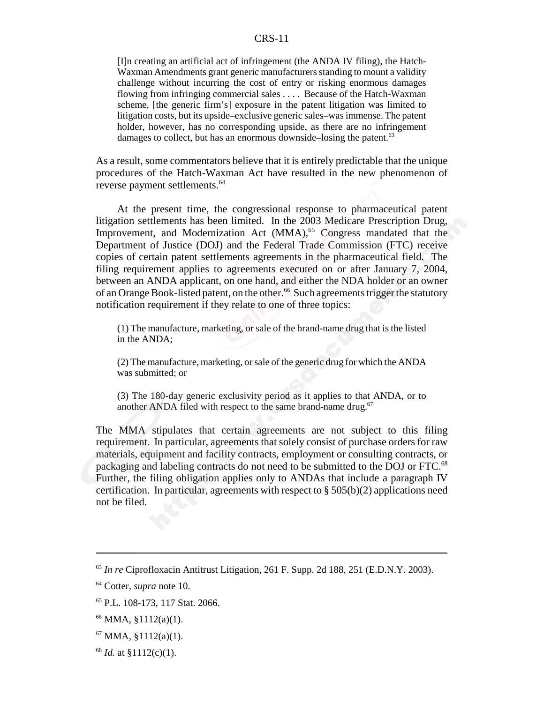[I]n creating an artificial act of infringement (the ANDA IV filing), the Hatch-Waxman Amendments grant generic manufacturers standing to mount a validity challenge without incurring the cost of entry or risking enormous damages flowing from infringing commercial sales . . . . Because of the Hatch-Waxman scheme, [the generic firm's] exposure in the patent litigation was limited to litigation costs, but its upside–exclusive generic sales–was immense. The patent holder, however, has no corresponding upside, as there are no infringement damages to collect, but has an enormous downside–losing the patent.<sup>63</sup>

As a result, some commentators believe that it is entirely predictable that the unique procedures of the Hatch-Waxman Act have resulted in the new phenomenon of reverse payment settlements.<sup>64</sup>

At the present time, the congressional response to pharmaceutical patent litigation settlements has been limited. In the 2003 Medicare Prescription Drug, Improvement, and Modernization Act  $(MMA)$ ,<sup>65</sup> Congress mandated that the Department of Justice (DOJ) and the Federal Trade Commission (FTC) receive copies of certain patent settlements agreements in the pharmaceutical field. The filing requirement applies to agreements executed on or after January 7, 2004, between an ANDA applicant, on one hand, and either the NDA holder or an owner of an Orange Book-listed patent, on the other.<sup>66</sup> Such agreements trigger the statutory notification requirement if they relate to one of three topics:

(1) The manufacture, marketing, or sale of the brand-name drug that is the listed in the ANDA;

(2) The manufacture, marketing, or sale of the generic drug for which the ANDA was submitted; or

(3) The 180-day generic exclusivity period as it applies to that ANDA, or to another ANDA filed with respect to the same brand-name drug.<sup>67</sup>

The MMA stipulates that certain agreements are not subject to this filing requirement. In particular, agreements that solely consist of purchase orders for raw materials, equipment and facility contracts, employment or consulting contracts, or packaging and labeling contracts do not need to be submitted to the DOJ or FTC.68 Further, the filing obligation applies only to ANDAs that include a paragraph IV certification. In particular, agreements with respect to  $\S 505(b)(2)$  applications need not be filed.

<sup>63</sup> *In re* Ciprofloxacin Antitrust Litigation, 261 F. Supp. 2d 188, 251 (E.D.N.Y. 2003).

<sup>64</sup> Cotter, *supra* note 10.

<sup>65</sup> P.L. 108-173, 117 Stat. 2066.

 $66$  MMA,  $$1112(a)(1)$ .

 $67$  MMA,  $$1112(a)(1)$ .

 $68$  *Id.* at  $$1112(c)(1)$ .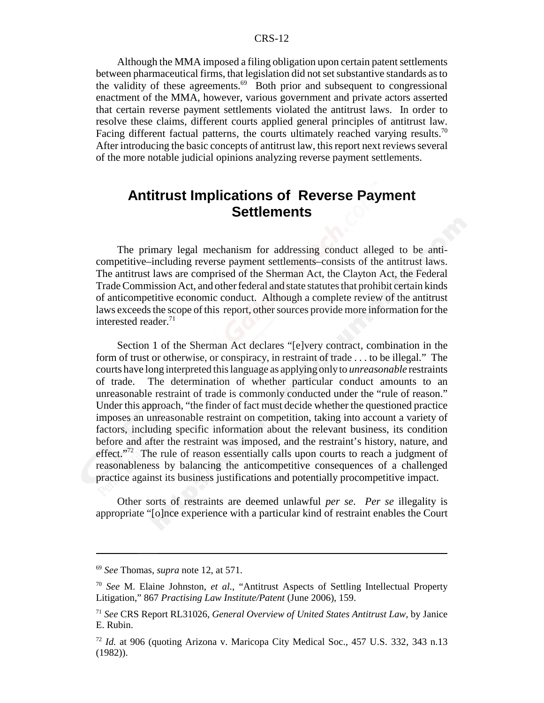Although the MMA imposed a filing obligation upon certain patent settlements between pharmaceutical firms, that legislation did not set substantive standards as to the validity of these agreements. $69$  Both prior and subsequent to congressional enactment of the MMA, however, various government and private actors asserted that certain reverse payment settlements violated the antitrust laws. In order to resolve these claims, different courts applied general principles of antitrust law. Facing different factual patterns, the courts ultimately reached varying results.<sup>70</sup> After introducing the basic concepts of antitrust law, this report next reviews several of the more notable judicial opinions analyzing reverse payment settlements.

## **Antitrust Implications of Reverse Payment Settlements**

The primary legal mechanism for addressing conduct alleged to be anticompetitive–including reverse payment settlements–consists of the antitrust laws. The antitrust laws are comprised of the Sherman Act, the Clayton Act, the Federal Trade Commission Act, and other federal and state statutes that prohibit certain kinds of anticompetitive economic conduct. Although a complete review of the antitrust laws exceeds the scope of this report, other sources provide more information for the interested reader. $71$ 

Section 1 of the Sherman Act declares "[e]very contract, combination in the form of trust or otherwise, or conspiracy, in restraint of trade . . . to be illegal." The courts have long interpreted this language as applying only to *unreasonable* restraints of trade. The determination of whether particular conduct amounts to an unreasonable restraint of trade is commonly conducted under the "rule of reason." Under this approach, "the finder of fact must decide whether the questioned practice imposes an unreasonable restraint on competition, taking into account a variety of factors, including specific information about the relevant business, its condition before and after the restraint was imposed, and the restraint's history, nature, and effect."<sup>72</sup> The rule of reason essentially calls upon courts to reach a judgment of reasonableness by balancing the anticompetitive consequences of a challenged practice against its business justifications and potentially procompetitive impact.

Other sorts of restraints are deemed unlawful *per se*. *Per se* illegality is appropriate "[o]nce experience with a particular kind of restraint enables the Court

<sup>69</sup> *See* Thomas, *supra* note 12, at 571.

<sup>70</sup> *See* M. Elaine Johnston, *et al.*, "Antitrust Aspects of Settling Intellectual Property Litigation," 867 *Practising Law Institute/Patent* (June 2006), 159.

<sup>71</sup> *See* CRS Report RL31026, *General Overview of United States Antitrust Law*, by Janice E. Rubin.

<sup>72</sup> *Id.* at 906 (quoting Arizona v. Maricopa City Medical Soc., 457 U.S. 332, 343 n.13 (1982)).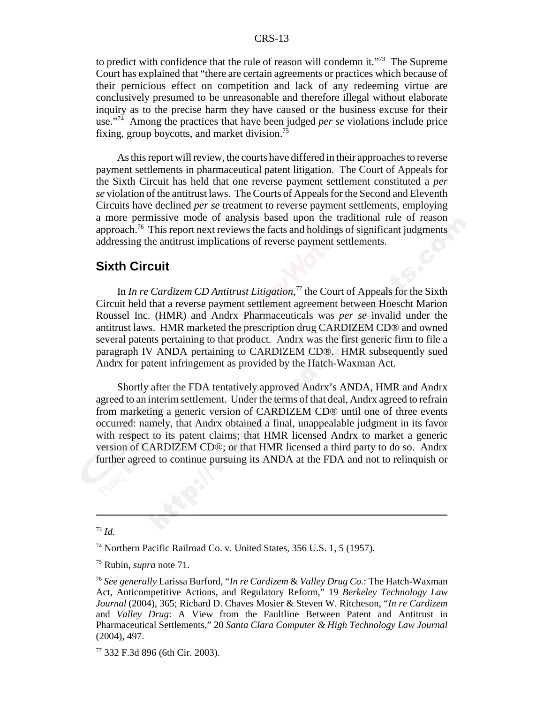to predict with confidence that the rule of reason will condemn it."73 The Supreme Court has explained that "there are certain agreements or practices which because of their pernicious effect on competition and lack of any redeeming virtue are conclusively presumed to be unreasonable and therefore illegal without elaborate inquiry as to the precise harm they have caused or the business excuse for their use."74 Among the practices that have been judged *per se* violations include price fixing, group boycotts, and market division.<sup>75</sup>

As this report will review, the courts have differed in their approaches to reverse payment settlements in pharmaceutical patent litigation. The Court of Appeals for the Sixth Circuit has held that one reverse payment settlement constituted a *per se* violation of the antitrust laws. The Courts of Appeals for the Second and Eleventh Circuits have declined *per se* treatment to reverse payment settlements, employing a more permissive mode of analysis based upon the traditional rule of reason approach.76 This report next reviews the facts and holdings of significant judgments addressing the antitrust implications of reverse payment settlements.

### **Sixth Circuit**

In *In re Cardizem CD Antitrust Litigation*, 77 the Court of Appeals for the Sixth Circuit held that a reverse payment settlement agreement between Hoescht Marion Roussel Inc. (HMR) and Andrx Pharmaceuticals was *per se* invalid under the antitrust laws. HMR marketed the prescription drug CARDIZEM CD® and owned several patents pertaining to that product. Andrx was the first generic firm to file a paragraph IV ANDA pertaining to CARDIZEM CD®. HMR subsequently sued Andrx for patent infringement as provided by the Hatch-Waxman Act.

Shortly after the FDA tentatively approved Andrx's ANDA, HMR and Andrx agreed to an interim settlement. Under the terms of that deal, Andrx agreed to refrain from marketing a generic version of CARDIZEM CD® until one of three events occurred: namely, that Andrx obtained a final, unappealable judgment in its favor with respect to its patent claims; that HMR licensed Andrx to market a generic version of CARDIZEM CD®; or that HMR licensed a third party to do so. Andrx further agreed to continue pursuing its ANDA at the FDA and not to relinquish or

<sup>73</sup> *Id.*

<sup>74</sup> Northern Pacific Railroad Co. v. United States, 356 U.S. 1, 5 (1957).

<sup>75</sup> Rubin, *supra* note 71.

<sup>76</sup> *See generally* Larissa Burford, "*In re Cardizem* & *Valley Drug Co.*: The Hatch-Waxman Act, Anticompetitive Actions, and Regulatory Reform," 19 *Berkeley Technology Law Journal* (2004), 365; Richard D. Chaves Mosier & Steven W. Ritcheson, "*In re Cardizem* and *Valley Drug*: A View from the Faultline Between Patent and Antitrust in Pharmaceutical Settlements," 20 *Santa Clara Computer & High Technology Law Journal* (2004), 497.

 $77$  332 F.3d 896 (6th Cir. 2003).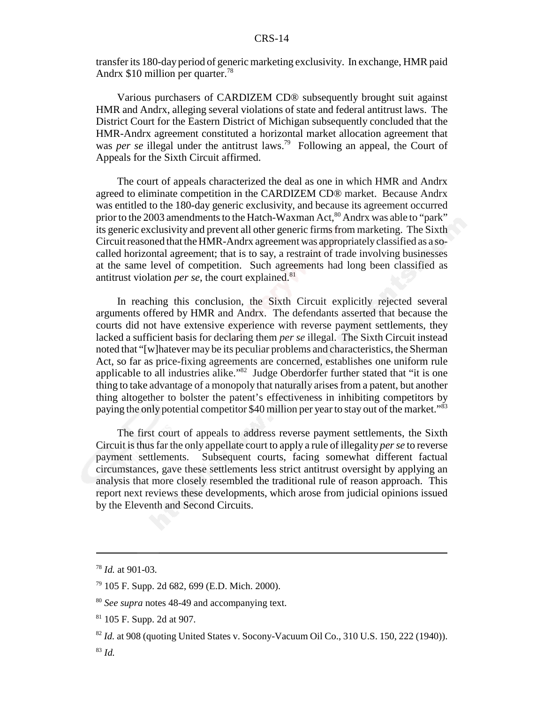transfer its 180-day period of generic marketing exclusivity. In exchange, HMR paid Andrx \$10 million per quarter.<sup>78</sup>

Various purchasers of CARDIZEM CD® subsequently brought suit against HMR and Andrx, alleging several violations of state and federal antitrust laws. The District Court for the Eastern District of Michigan subsequently concluded that the HMR-Andrx agreement constituted a horizontal market allocation agreement that was *per se* illegal under the antitrust laws.<sup>79</sup> Following an appeal, the Court of Appeals for the Sixth Circuit affirmed.

The court of appeals characterized the deal as one in which HMR and Andrx agreed to eliminate competition in the CARDIZEM CD® market. Because Andrx was entitled to the 180-day generic exclusivity, and because its agreement occurred prior to the 2003 amendments to the Hatch-Waxman Act,<sup>80</sup> Andrx was able to "park" its generic exclusivity and prevent all other generic firms from marketing. The Sixth Circuit reasoned that the HMR-Andrx agreement was appropriately classified as a socalled horizontal agreement; that is to say, a restraint of trade involving businesses at the same level of competition. Such agreements had long been classified as antitrust violation *per se*, the court explained.<sup>81</sup>

In reaching this conclusion, the Sixth Circuit explicitly rejected several arguments offered by HMR and Andrx. The defendants asserted that because the courts did not have extensive experience with reverse payment settlements, they lacked a sufficient basis for declaring them *per se* illegal. The Sixth Circuit instead noted that "[w]hatever may be its peculiar problems and characteristics, the Sherman Act, so far as price-fixing agreements are concerned, establishes one uniform rule applicable to all industries alike."82 Judge Oberdorfer further stated that "it is one thing to take advantage of a monopoly that naturally arises from a patent, but another thing altogether to bolster the patent's effectiveness in inhibiting competitors by paying the only potential competitor \$40 million per year to stay out of the market."<sup>83</sup>

The first court of appeals to address reverse payment settlements, the Sixth Circuit is thus far the only appellate court to apply a rule of illegality *per se* to reverse payment settlements. Subsequent courts, facing somewhat different factual circumstances, gave these settlements less strict antitrust oversight by applying an analysis that more closely resembled the traditional rule of reason approach. This report next reviews these developments, which arose from judicial opinions issued by the Eleventh and Second Circuits.

<sup>78</sup> *Id.* at 901-03.

<sup>79 105</sup> F. Supp. 2d 682, 699 (E.D. Mich. 2000).

<sup>80</sup> *See supra* notes 48-49 and accompanying text.

<sup>81 105</sup> F. Supp. 2d at 907.

 $82$  *Id.* at 908 (quoting United States v. Socony-Vacuum Oil Co., 310 U.S. 150, 222 (1940)).

<sup>83</sup> *Id.*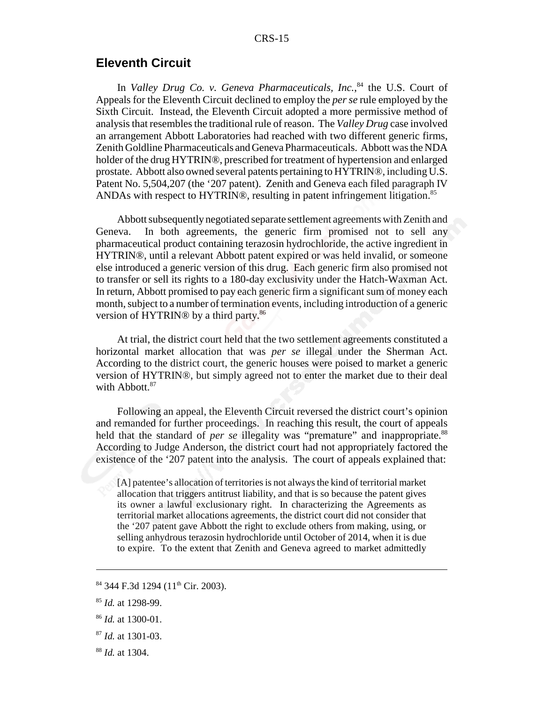### **Eleventh Circuit**

In *Valley Drug Co. v. Geneva Pharmaceuticals, Inc.*,<sup>84</sup> the U.S. Court of Appeals for the Eleventh Circuit declined to employ the *per se* rule employed by the Sixth Circuit. Instead, the Eleventh Circuit adopted a more permissive method of analysis that resembles the traditional rule of reason. The *Valley Drug* case involved an arrangement Abbott Laboratories had reached with two different generic firms, Zenith Goldline Pharmaceuticals and Geneva Pharmaceuticals. Abbott was the NDA holder of the drug HYTRIN®, prescribed for treatment of hypertension and enlarged prostate. Abbott also owned several patents pertaining to HYTRIN®, including U.S. Patent No. 5,504,207 (the '207 patent). Zenith and Geneva each filed paragraph IV ANDAs with respect to HYTRIN®, resulting in patent infringement litigation.<sup>85</sup>

Abbott subsequently negotiated separate settlement agreements with Zenith and Geneva. In both agreements, the generic firm promised not to sell any pharmaceutical product containing terazosin hydrochloride, the active ingredient in HYTRIN®, until a relevant Abbott patent expired or was held invalid, or someone else introduced a generic version of this drug. Each generic firm also promised not to transfer or sell its rights to a 180-day exclusivity under the Hatch-Waxman Act. In return, Abbott promised to pay each generic firm a significant sum of money each month, subject to a number of termination events, including introduction of a generic version of HYTRIN® by a third party.<sup>86</sup>

At trial, the district court held that the two settlement agreements constituted a horizontal market allocation that was *per se* illegal under the Sherman Act. According to the district court, the generic houses were poised to market a generic version of HYTRIN®, but simply agreed not to enter the market due to their deal with Abbott.<sup>87</sup>

Following an appeal, the Eleventh Circuit reversed the district court's opinion and remanded for further proceedings. In reaching this result, the court of appeals held that the standard of *per se* illegality was "premature" and inappropriate.<sup>88</sup> According to Judge Anderson, the district court had not appropriately factored the existence of the '207 patent into the analysis. The court of appeals explained that:

[A] patentee's allocation of territories is not always the kind of territorial market allocation that triggers antitrust liability, and that is so because the patent gives its owner a lawful exclusionary right. In characterizing the Agreements as territorial market allocations agreements, the district court did not consider that the '207 patent gave Abbott the right to exclude others from making, using, or selling anhydrous terazosin hydrochloride until October of 2014, when it is due to expire. To the extent that Zenith and Geneva agreed to market admittedly

- <sup>86</sup> *Id.* at 1300-01.
- <sup>87</sup> *Id.* at 1301-03.
- <sup>88</sup> *Id.* at 1304.

 $84$  344 F.3d 1294 (11<sup>th</sup> Cir. 2003).

<sup>85</sup> *Id.* at 1298-99.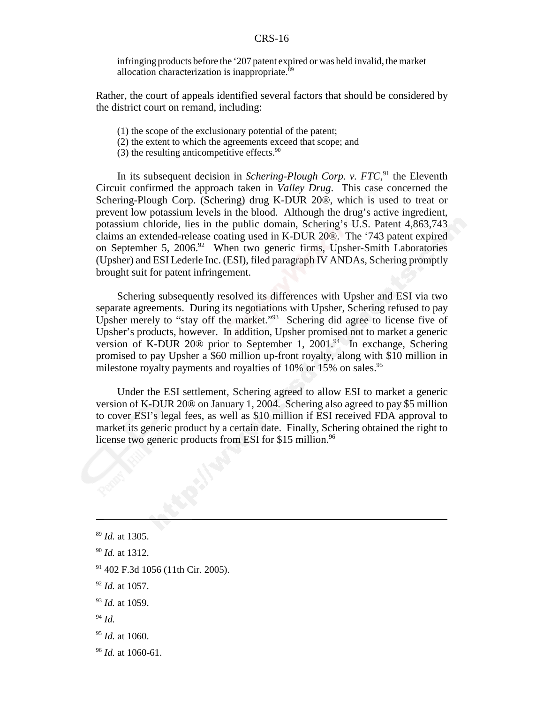infringing products before the '207 patent expired or was held invalid, the market allocation characterization is inappropriate.<sup>89</sup>

Rather, the court of appeals identified several factors that should be considered by the district court on remand, including:

- (1) the scope of the exclusionary potential of the patent;
- (2) the extent to which the agreements exceed that scope; and
- (3) the resulting anticompetitive effects. $90$

In its subsequent decision in *Schering-Plough Corp. v. FTC*,<sup>91</sup> the Eleventh Circuit confirmed the approach taken in *Valley Drug*. This case concerned the Schering-Plough Corp. (Schering) drug K-DUR 20®, which is used to treat or prevent low potassium levels in the blood. Although the drug's active ingredient, potassium chloride, lies in the public domain, Schering's U.S. Patent 4,863,743 claims an extended-release coating used in K-DUR 20®. The '743 patent expired on September 5, 2006.<sup>92</sup> When two generic firms, Upsher-Smith Laboratories (Upsher) and ESI Lederle Inc. (ESI), filed paragraph IV ANDAs, Schering promptly brought suit for patent infringement.

Schering subsequently resolved its differences with Upsher and ESI via two separate agreements. During its negotiations with Upsher, Schering refused to pay Upsher merely to "stay off the market."<sup>93</sup> Schering did agree to license five of Upsher's products, however. In addition, Upsher promised not to market a generic version of K-DUR 20 $\textcircled{v}$  prior to September 1, 2001.<sup>94</sup> In exchange, Schering promised to pay Upsher a \$60 million up-front royalty, along with \$10 million in milestone royalty payments and royalties of 10% or 15% on sales.<sup>95</sup>

Under the ESI settlement, Schering agreed to allow ESI to market a generic version of K-DUR 20® on January 1, 2004. Schering also agreed to pay \$5 million to cover ESI's legal fees, as well as \$10 million if ESI received FDA approval to market its generic product by a certain date. Finally, Schering obtained the right to license two generic products from ESI for \$15 million.<sup>96</sup>

- <sup>90</sup> *Id.* at 1312.
- 91 402 F.3d 1056 (11th Cir. 2005).
- <sup>92</sup> *Id.* at 1057.
- <sup>93</sup> *Id.* at 1059.
- <sup>94</sup> *Id.*
- <sup>95</sup> *Id.* at 1060.
- <sup>96</sup> *Id.* at 1060-61.

<sup>89</sup> *Id.* at 1305.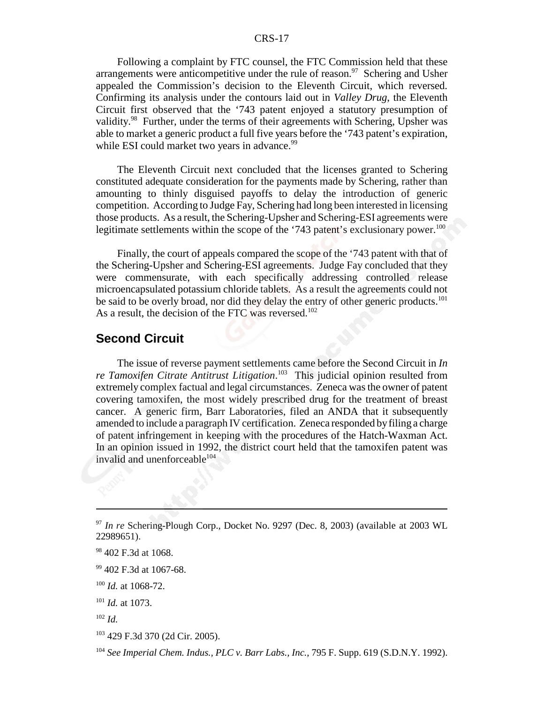Following a complaint by FTC counsel, the FTC Commission held that these arrangements were anticompetitive under the rule of reason.<sup>97</sup> Schering and Usher appealed the Commission's decision to the Eleventh Circuit, which reversed. Confirming its analysis under the contours laid out in *Valley Drug*, the Eleventh Circuit first observed that the '743 patent enjoyed a statutory presumption of validity.<sup>98</sup> Further, under the terms of their agreements with Schering, Upsher was able to market a generic product a full five years before the '743 patent's expiration, while ESI could market two years in advance.<sup>99</sup>

The Eleventh Circuit next concluded that the licenses granted to Schering constituted adequate consideration for the payments made by Schering, rather than amounting to thinly disguised payoffs to delay the introduction of generic competition. According to Judge Fay, Schering had long been interested in licensing those products. As a result, the Schering-Upsher and Schering-ESI agreements were legitimate settlements within the scope of the '743 patent's exclusionary power.<sup>100</sup>

Finally, the court of appeals compared the scope of the '743 patent with that of the Schering-Upsher and Schering-ESI agreements. Judge Fay concluded that they were commensurate, with each specifically addressing controlled release microencapsulated potassium chloride tablets. As a result the agreements could not be said to be overly broad, nor did they delay the entry of other generic products.<sup>101</sup> As a result, the decision of the FTC was reversed.<sup>102</sup>

#### **Second Circuit**

The issue of reverse payment settlements came before the Second Circuit in *In re Tamoxifen Citrate Antitrust Litigation*. 103 This judicial opinion resulted from extremely complex factual and legal circumstances. Zeneca was the owner of patent covering tamoxifen, the most widely prescribed drug for the treatment of breast cancer. A generic firm, Barr Laboratories, filed an ANDA that it subsequently amended to include a paragraph IV certification. Zeneca responded by filing a charge of patent infringement in keeping with the procedures of the Hatch-Waxman Act. In an opinion issued in 1992, the district court held that the tamoxifen patent was invalid and unenforceable<sup>104</sup>

<sup>97</sup> *In re* Schering-Plough Corp., Docket No. 9297 (Dec. 8, 2003) (available at 2003 WL 22989651).

<sup>&</sup>lt;sup>98</sup> 402 F.3d at 1068.

 $99$  402 F.3d at 1067-68.

<sup>100</sup> *Id.* at 1068-72.

<sup>101</sup> *Id.* at 1073.

<sup>102</sup> *Id.*

<sup>103 429</sup> F.3d 370 (2d Cir. 2005).

<sup>104</sup> *See Imperial Chem. Indus., PLC v. Barr Labs., Inc.*, 795 F. Supp. 619 (S.D.N.Y. 1992).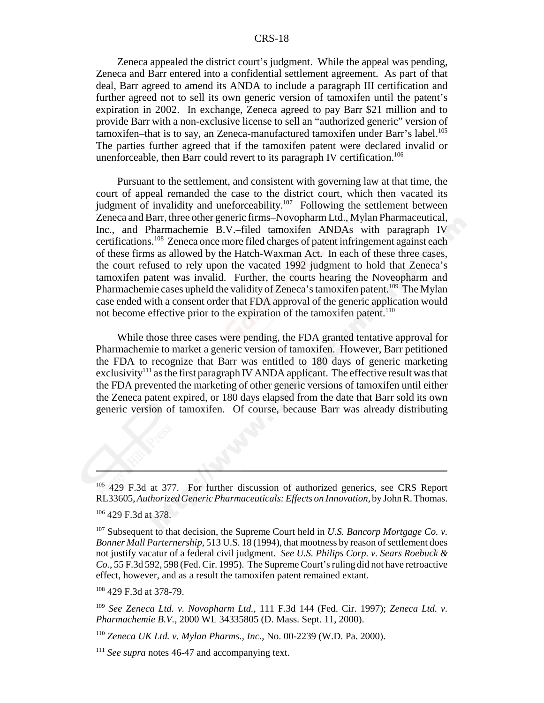Zeneca appealed the district court's judgment. While the appeal was pending, Zeneca and Barr entered into a confidential settlement agreement. As part of that deal, Barr agreed to amend its ANDA to include a paragraph III certification and further agreed not to sell its own generic version of tamoxifen until the patent's expiration in 2002. In exchange, Zeneca agreed to pay Barr \$21 million and to provide Barr with a non-exclusive license to sell an "authorized generic" version of tamoxifen–that is to say, an Zeneca-manufactured tamoxifen under Barr's label.<sup>105</sup> The parties further agreed that if the tamoxifen patent were declared invalid or unenforceable, then Barr could revert to its paragraph IV certification.<sup>106</sup>

Pursuant to the settlement, and consistent with governing law at that time, the court of appeal remanded the case to the district court, which then vacated its judgment of invalidity and uneforceability.<sup>107</sup> Following the settlement between Zeneca and Barr, three other generic firms–Novopharm Ltd., Mylan Pharmaceutical, Inc., and Pharmachemie B.V.–filed tamoxifen ANDAs with paragraph IV certifications.108 Zeneca once more filed charges of patent infringement against each of these firms as allowed by the Hatch-Waxman Act. In each of these three cases, the court refused to rely upon the vacated 1992 judgment to hold that Zeneca's tamoxifen patent was invalid. Further, the courts hearing the Noveopharm and Pharmachemie cases upheld the validity of Zeneca's tamoxifen patent.<sup>109</sup> The Mylan case ended with a consent order that FDA approval of the generic application would not become effective prior to the expiration of the tamoxifen patent.<sup>110</sup>

While those three cases were pending, the FDA granted tentative approval for Pharmachemie to market a generic version of tamoxifen. However, Barr petitioned the FDA to recognize that Barr was entitled to 180 days of generic marketing exclusivity<sup>111</sup> as the first paragraph IV ANDA applicant. The effective result was that the FDA prevented the marketing of other generic versions of tamoxifen until either the Zeneca patent expired, or 180 days elapsed from the date that Barr sold its own generic version of tamoxifen. Of course, because Barr was already distributing

<sup>105 429</sup> F.3d at 377. For further discussion of authorized generics, see CRS Report RL33605, *Authorized Generic Pharmaceuticals: Effects on Innovation*, by John R. Thomas.

<sup>106 429</sup> F.3d at 378.

<sup>107</sup> Subsequent to that decision, the Supreme Court held in *U.S. Bancorp Mortgage Co. v. Bonner Mall Parternership*, 513 U.S. 18 (1994), that mootness by reason of settlement does not justify vacatur of a federal civil judgment. *See U.S. Philips Corp. v. Sears Roebuck & Co.*, 55 F.3d 592, 598 (Fed. Cir. 1995). The Supreme Court's ruling did not have retroactive effect, however, and as a result the tamoxifen patent remained extant.

<sup>108 429</sup> F.3d at 378-79.

<sup>109</sup> *See Zeneca Ltd. v. Novopharm Ltd.*, 111 F.3d 144 (Fed. Cir. 1997); *Zeneca Ltd. v. Pharmachemie B.V.*, 2000 WL 34335805 (D. Mass. Sept. 11, 2000).

<sup>110</sup> *Zeneca UK Ltd. v. Mylan Pharms., Inc.*, No. 00-2239 (W.D. Pa. 2000).

<sup>&</sup>lt;sup>111</sup> *See supra* notes 46-47 and accompanying text.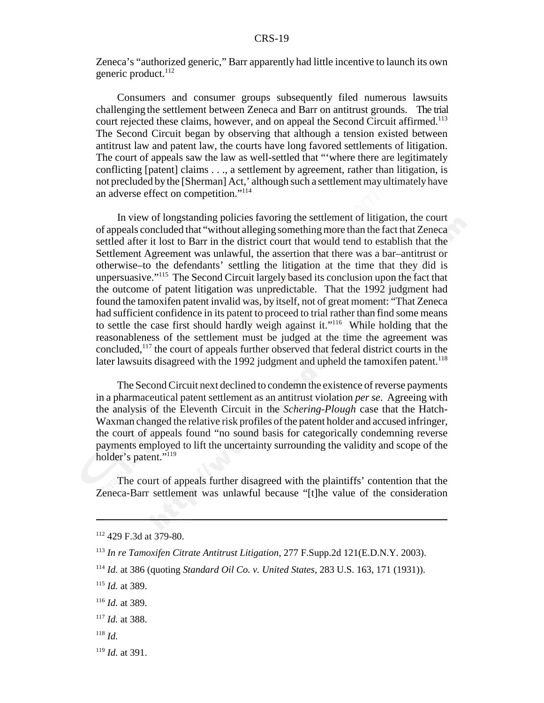Zeneca's "authorized generic," Barr apparently had little incentive to launch its own generic product.<sup>112</sup>

Consumers and consumer groups subsequently filed numerous lawsuits challenging the settlement between Zeneca and Barr on antitrust grounds. The trial court rejected these claims, however, and on appeal the Second Circuit affirmed.<sup>113</sup> The Second Circuit began by observing that although a tension existed between antitrust law and patent law, the courts have long favored settlements of litigation. The court of appeals saw the law as well-settled that "'where there are legitimately conflicting [patent] claims . . ., a settlement by agreement, rather than litigation, is not precluded by the [Sherman] Act,' although such a settlement may ultimately have an adverse effect on competition."114

In view of longstanding policies favoring the settlement of litigation, the court of appeals concluded that "without alleging something more than the fact that Zeneca settled after it lost to Barr in the district court that would tend to establish that the Settlement Agreement was unlawful, the assertion that there was a bar–antitrust or otherwise–to the defendants' settling the litigation at the time that they did is unpersuasive."115 The Second Circuit largely based its conclusion upon the fact that the outcome of patent litigation was unpredictable. That the 1992 judgment had found the tamoxifen patent invalid was, by itself, not of great moment: "That Zeneca had sufficient confidence in its patent to proceed to trial rather than find some means to settle the case first should hardly weigh against it."116 While holding that the reasonableness of the settlement must be judged at the time the agreement was concluded,<sup>117</sup> the court of appeals further observed that federal district courts in the later lawsuits disagreed with the 1992 judgment and upheld the tamoxifen patent.<sup>118</sup>

The Second Circuit next declined to condemn the existence of reverse payments in a pharmaceutical patent settlement as an antitrust violation *per se*. Agreeing with the analysis of the Eleventh Circuit in the *Schering-Plough* case that the Hatch-Waxman changed the relative risk profiles of the patent holder and accused infringer, the court of appeals found "no sound basis for categorically condemning reverse payments employed to lift the uncertainty surrounding the validity and scope of the holder's patent."<sup>119</sup>

The court of appeals further disagreed with the plaintiffs' contention that the Zeneca-Barr settlement was unlawful because "[t]he value of the consideration

- <sup>118</sup> *Id.*
- <sup>119</sup> *Id.* at 391.

<sup>112 429</sup> F.3d at 379-80.

<sup>113</sup> *In re Tamoxifen Citrate Antitrust Litigation*, 277 F.Supp.2d 121(E.D.N.Y. 2003).

<sup>114</sup> *Id.* at 386 (quoting *Standard Oil Co. v. United States*, 283 U.S. 163, 171 (1931)).

<sup>115</sup> *Id.* at 389.

<sup>116</sup> *Id.* at 389.

<sup>117</sup> *Id.* at 388.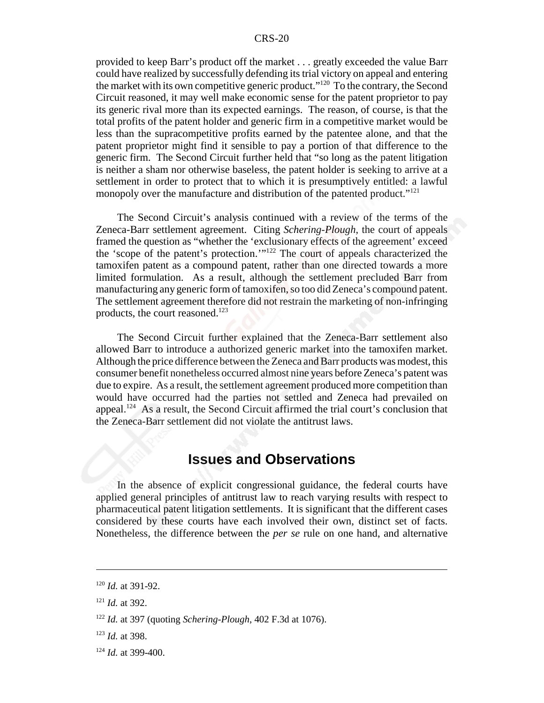provided to keep Barr's product off the market . . . greatly exceeded the value Barr could have realized by successfully defending its trial victory on appeal and entering the market with its own competitive generic product."<sup>120</sup> To the contrary, the Second Circuit reasoned, it may well make economic sense for the patent proprietor to pay its generic rival more than its expected earnings. The reason, of course, is that the total profits of the patent holder and generic firm in a competitive market would be less than the supracompetitive profits earned by the patentee alone, and that the patent proprietor might find it sensible to pay a portion of that difference to the generic firm. The Second Circuit further held that "so long as the patent litigation is neither a sham nor otherwise baseless, the patent holder is seeking to arrive at a settlement in order to protect that to which it is presumptively entitled: a lawful monopoly over the manufacture and distribution of the patented product."<sup>121</sup>

The Second Circuit's analysis continued with a review of the terms of the Zeneca-Barr settlement agreement. Citing *Schering-Plough*, the court of appeals framed the question as "whether the 'exclusionary effects of the agreement' exceed the 'scope of the patent's protection.'"122 The court of appeals characterized the tamoxifen patent as a compound patent, rather than one directed towards a more limited formulation. As a result, although the settlement precluded Barr from manufacturing any generic form of tamoxifen, so too did Zeneca's compound patent. The settlement agreement therefore did not restrain the marketing of non-infringing products, the court reasoned.<sup>123</sup>

The Second Circuit further explained that the Zeneca-Barr settlement also allowed Barr to introduce a authorized generic market into the tamoxifen market. Although the price difference between the Zeneca and Barr products was modest, this consumer benefit nonetheless occurred almost nine years before Zeneca's patent was due to expire. As a result, the settlement agreement produced more competition than would have occurred had the parties not settled and Zeneca had prevailed on appeal.<sup>124</sup> As a result, the Second Circuit affirmed the trial court's conclusion that the Zeneca-Barr settlement did not violate the antitrust laws.

## **Issues and Observations**

In the absence of explicit congressional guidance, the federal courts have applied general principles of antitrust law to reach varying results with respect to pharmaceutical patent litigation settlements. It is significant that the different cases considered by these courts have each involved their own, distinct set of facts. Nonetheless, the difference between the *per se* rule on one hand, and alternative

<sup>120</sup> *Id.* at 391-92.

<sup>121</sup> *Id.* at 392.

<sup>122</sup> *Id.* at 397 (quoting *Schering-Plough*, 402 F.3d at 1076).

<sup>123</sup> *Id.* at 398.

<sup>124</sup> *Id.* at 399-400.